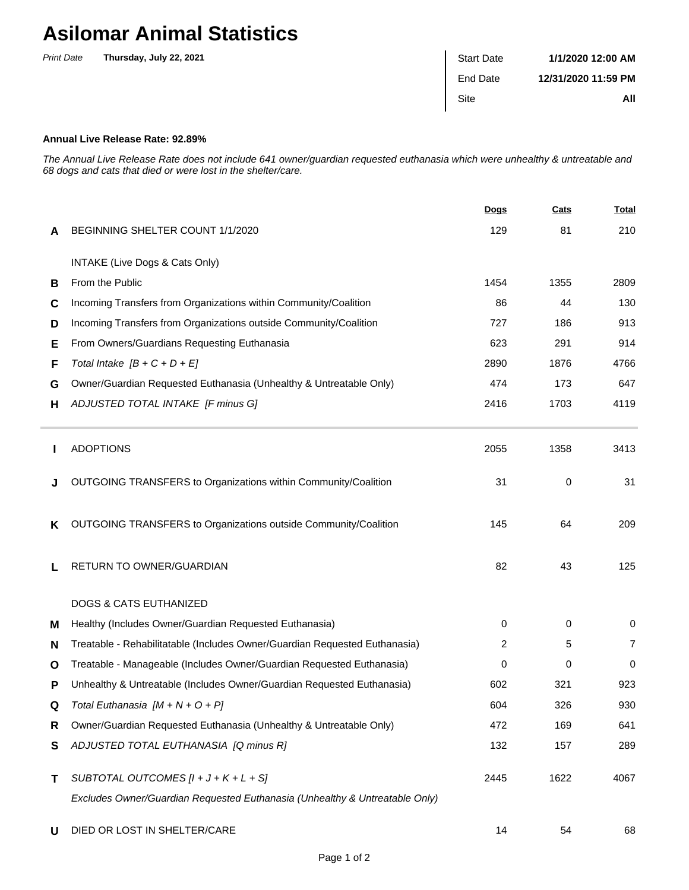## **Asilomar Animal Statistics**

| <b>Print Date</b> | Thursday, July 22, 2021 | <b>Start Date</b> | 1/1/2020 12:00 AM   |
|-------------------|-------------------------|-------------------|---------------------|
|                   |                         | End Date          | 12/31/2020 11:59 PM |
|                   |                         | Site              | All                 |

## **Annual Live Release Rate: 92.89%**

Ė

The Annual Live Release Rate does not include 641 owner/guardian requested euthanasia which were unhealthy & untreatable and 68 dogs and cats that died or were lost in the shelter/care.

|   |                                                                             | Dogs | Cats | <b>Total</b>   |
|---|-----------------------------------------------------------------------------|------|------|----------------|
| A | BEGINNING SHELTER COUNT 1/1/2020                                            | 129  | 81   | 210            |
|   | INTAKE (Live Dogs & Cats Only)                                              |      |      |                |
| B | From the Public                                                             | 1454 | 1355 | 2809           |
| C | Incoming Transfers from Organizations within Community/Coalition            | 86   | 44   | 130            |
| D | Incoming Transfers from Organizations outside Community/Coalition           | 727  | 186  | 913            |
| Е | From Owners/Guardians Requesting Euthanasia                                 | 623  | 291  | 914            |
| F | Total Intake $[B + C + D + E]$                                              | 2890 | 1876 | 4766           |
| G | Owner/Guardian Requested Euthanasia (Unhealthy & Untreatable Only)          | 474  | 173  | 647            |
| н | ADJUSTED TOTAL INTAKE [F minus G]                                           | 2416 | 1703 | 4119           |
|   | <b>ADOPTIONS</b>                                                            | 2055 | 1358 | 3413           |
| J | OUTGOING TRANSFERS to Organizations within Community/Coalition              | 31   | 0    | 31             |
| ĸ | OUTGOING TRANSFERS to Organizations outside Community/Coalition             | 145  | 64   | 209            |
|   | RETURN TO OWNER/GUARDIAN                                                    | 82   | 43   | 125            |
|   | <b>DOGS &amp; CATS EUTHANIZED</b>                                           |      |      |                |
| M | Healthy (Includes Owner/Guardian Requested Euthanasia)                      | 0    | 0    | 0              |
| N | Treatable - Rehabilitatable (Includes Owner/Guardian Requested Euthanasia)  | 2    | 5    | $\overline{7}$ |
| O | Treatable - Manageable (Includes Owner/Guardian Requested Euthanasia)       | 0    | 0    | 0              |
| P | Unhealthy & Untreatable (Includes Owner/Guardian Requested Euthanasia)      | 602  | 321  | 923            |
| Q | Total Euthanasia $[M + N + O + P]$                                          | 604  | 326  | 930            |
| R | Owner/Guardian Requested Euthanasia (Unhealthy & Untreatable Only)          | 472  | 169  | 641            |
| S | ADJUSTED TOTAL EUTHANASIA [Q minus R]                                       | 132  | 157  | 289            |
| Τ | SUBTOTAL OUTCOMES $[l + J + K + L + S]$                                     | 2445 | 1622 | 4067           |
|   | Excludes Owner/Guardian Requested Euthanasia (Unhealthy & Untreatable Only) |      |      |                |
| U | DIED OR LOST IN SHELTER/CARE                                                | 14   | 54   | 68             |